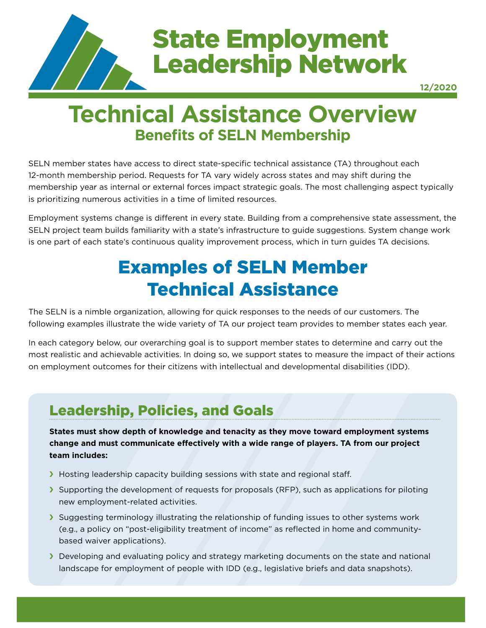

# State Employment Leadership Network

**12/2020**

# **Technical Assistance Overview Benefits of SELN Membership**

SELN member states have access to direct state-specific technical assistance (TA) throughout each 12-month membership period. Requests for TA vary widely across states and may shift during the membership year as internal or external forces impact strategic goals. The most challenging aspect typically is prioritizing numerous activities in a time of limited resources.

Employment systems change is different in every state. Building from a comprehensive state assessment, the SELN project team builds familiarity with a state's infrastructure to guide suggestions. System change work is one part of each state's continuous quality improvement process, which in turn guides TA decisions.

## Examples of SELN Member Technical Assistance

The SELN is a nimble organization, allowing for quick responses to the needs of our customers. The following examples illustrate the wide variety of TA our project team provides to member states each year.

In each category below, our overarching goal is to support member states to determine and carry out the most realistic and achievable activities. In doing so, we support states to measure the impact of their actions on employment outcomes for their citizens with intellectual and developmental disabilities (IDD).

### Leadership, Policies, and Goals

**States must show depth of knowledge and tenacity as they move toward employment systems change and must communicate effectively with a wide range of players. TA from our project team includes:**

- If Hosting leadership capacity building sessions with state and regional staff.
- $\blacktriangleright$  Supporting the development of requests for proposals (RFP), such as applications for piloting new employment-related activities.
- Suggesting terminology illustrating the relationship of funding issues to other systems work (e.g., a policy on "post-eligibility treatment of income" as reflected in home and communitybased waiver applications).
- **Developing and evaluating policy and strategy marketing documents on the state and national** landscape for employment of people with IDD (e.g., legislative briefs and data snapshots).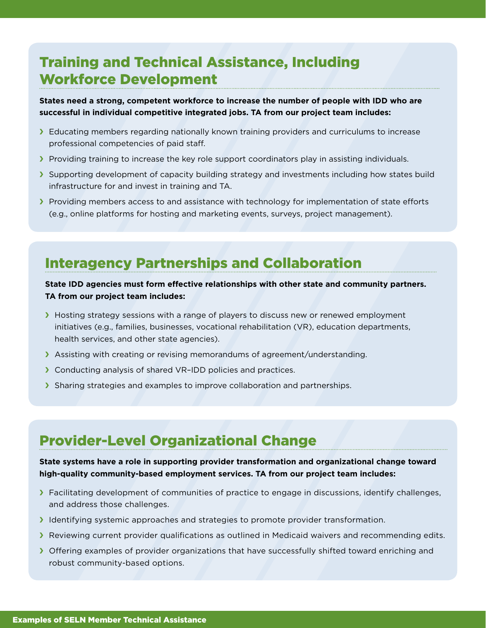### Training and Technical Assistance, Including Workforce Development

**States need a strong, competent workforce to increase the number of people with IDD who are successful in individual competitive integrated jobs. TA from our project team includes:**

- If Educating members regarding nationally known training providers and curriculums to increase professional competencies of paid staff.
- **Providing training to increase the key role support coordinators play in assisting individuals.**
- Supporting development of capacity building strategy and investments including how states build infrastructure for and invest in training and TA.
- **F** Providing members access to and assistance with technology for implementation of state efforts (e.g., online platforms for hosting and marketing events, surveys, project management).

### Interagency Partnerships and Collaboration

#### **State IDD agencies must form effective relationships with other state and community partners. TA from our project team includes:**

- **H** Hosting strategy sessions with a range of players to discuss new or renewed employment initiatives (e.g., families, businesses, vocational rehabilitation (VR), education departments, health services, and other state agencies).
- **S** Assisting with creating or revising memorandums of agreement/understanding.
- **Conducting analysis of shared VR-IDD policies and practices.**
- Sharing strategies and examples to improve collaboration and partnerships.

### Provider-Level Organizational Change

#### **State systems have a role in supporting provider transformation and organizational change toward high-quality community-based employment services. TA from our project team includes:**

- **Facilitating development of communities of practice to engage in discussions, identify challenges,** and address those challenges.
- Identifying systemic approaches and strategies to promote provider transformation.
- **Reviewing current provider qualifications as outlined in Medicaid waivers and recommending edits.**
- **F** Offering examples of provider organizations that have successfully shifted toward enriching and robust community-based options.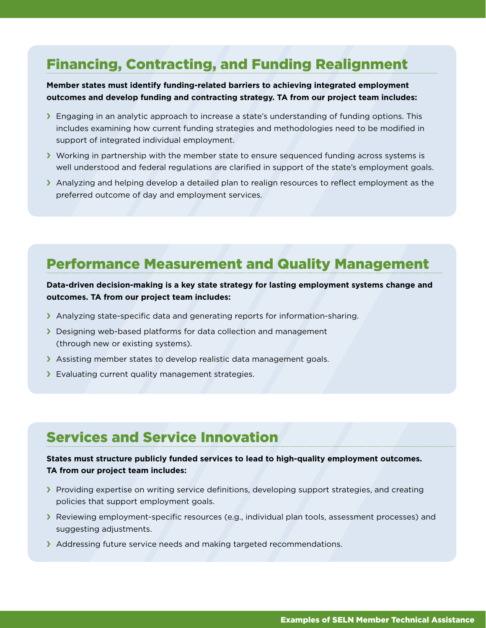### Financing, Contracting, and Funding Realignment

#### **Member states must identify funding-related barriers to achieving integrated employment outcomes and develop funding and contracting strategy. TA from our project team includes:**

- **F** Engaging in an analytic approach to increase a state's understanding of funding options. This includes examining how current funding strategies and methodologies need to be modified in support of integrated individual employment.
- **If Working in partnership with the member state to ensure sequenced funding across systems is** well understood and federal regulations are clarified in support of the state's employment goals.
- Analyzing and helping develop a detailed plan to realign resources to reflect employment as the preferred outcome of day and employment services.

### Performance Measurement and Quality Management

#### **Data-driven decision-making is a key state strategy for lasting employment systems change and outcomes. TA from our project team includes:**

- $\blacktriangleright$  Analyzing state-specific data and generating reports for information-sharing.
- **Designing web-based platforms for data collection and management** (through new or existing systems).
- $\blacktriangleright$  Assisting member states to develop realistic data management goals.
- Straiuating current quality management strategies.

### Services and Service Innovation

#### **States must structure publicly funded services to lead to high-quality employment outcomes. TA from our project team includes:**

- **F** Providing expertise on writing service definitions, developing support strategies, and creating policies that support employment goals.
- **F** Reviewing employment-specific resources (e.g., individual plan tools, assessment processes) and suggesting adjustments.
- Addressing future service needs and making targeted recommendations.